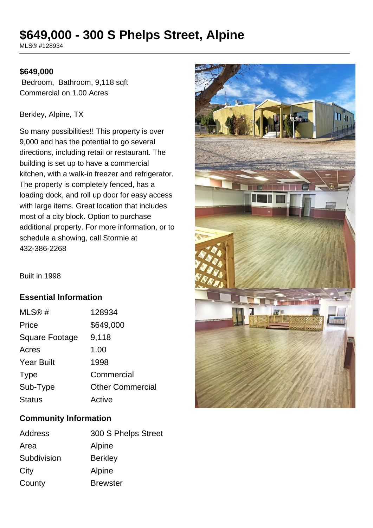# **\$649,000 - 300 S Phelps Street, Alpine**

MLS® #128934

## **\$649,000**

 Bedroom, Bathroom, 9,118 sqft Commercial on 1.00 Acres

#### Berkley, Alpine, TX

So many possibilities!! This property is over 9,000 and has the potential to go several directions, including retail or restaurant. The building is set up to have a commercial kitchen, with a walk-in freezer and refrigerator. The property is completely fenced, has a loading dock, and roll up door for easy access with large items. Great location that includes most of a city block. Option to purchase additional property. For more information, or to schedule a showing, call Stormie at 432-386-2268



Built in 1998

## **Essential Information**

| MLS@#                 | 128934                  |
|-----------------------|-------------------------|
| Price                 | \$649,000               |
| <b>Square Footage</b> | 9,118                   |
| Acres                 | 1.00                    |
| <b>Year Built</b>     | 1998                    |
| <b>Type</b>           | Commercial              |
| Sub-Type              | <b>Other Commercial</b> |
| <b>Status</b>         | Active                  |

## **Community Information**

| Address     | 300 S Phelps Street |
|-------------|---------------------|
| Area        | Alpine              |
| Subdivision | <b>Berkley</b>      |
| City        | Alpine              |
| County      | <b>Brewster</b>     |